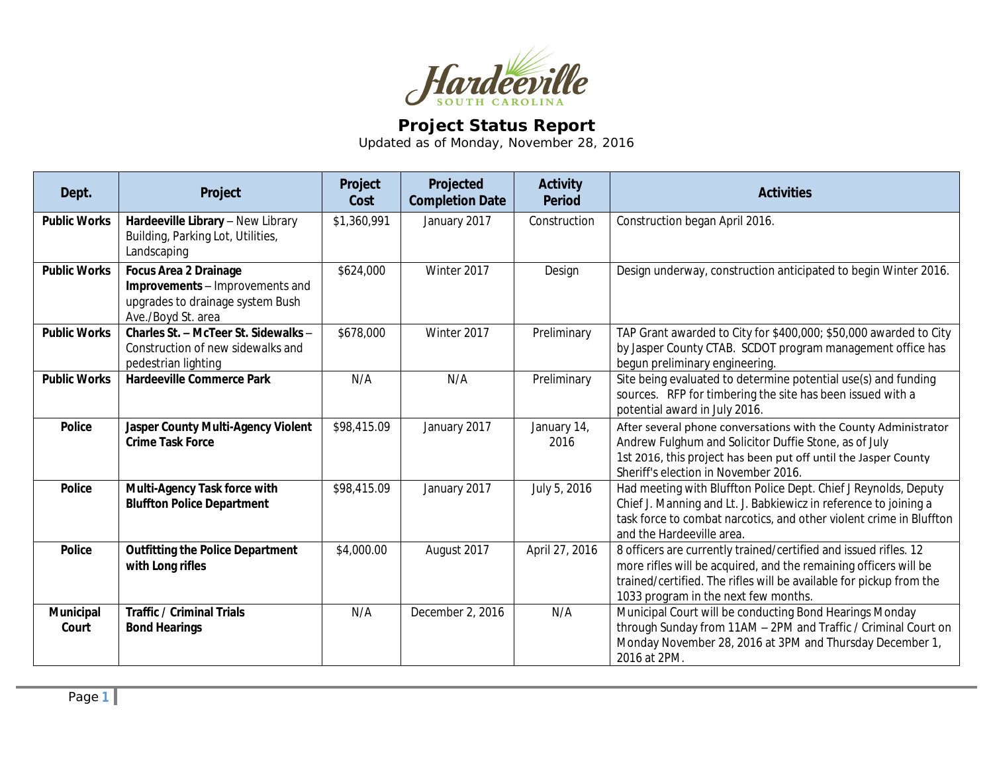

## **Project Status Report**

Updated as of Monday, November 28, 2016

| Dept.                     | Project                                                                                                                   | Project<br>Cost | Projected<br><b>Completion Date</b> | <b>Activity</b><br><b>Period</b> | <b>Activities</b>                                                                                                                                                                                                                                   |
|---------------------------|---------------------------------------------------------------------------------------------------------------------------|-----------------|-------------------------------------|----------------------------------|-----------------------------------------------------------------------------------------------------------------------------------------------------------------------------------------------------------------------------------------------------|
| <b>Public Works</b>       | Hardeeville Library - New Library<br>Building, Parking Lot, Utilities,<br>Landscaping                                     | \$1,360,991     | January 2017                        | Construction                     | Construction began April 2016.                                                                                                                                                                                                                      |
| <b>Public Works</b>       | <b>Focus Area 2 Drainage</b><br>Improvements - Improvements and<br>upgrades to drainage system Bush<br>Ave./Boyd St. area | \$624,000       | Winter 2017                         | Design                           | Design underway, construction anticipated to begin Winter 2016.                                                                                                                                                                                     |
| <b>Public Works</b>       | Charles St. - McTeer St. Sidewalks -<br>Construction of new sidewalks and<br>pedestrian lighting                          | \$678,000       | Winter 2017                         | Preliminary                      | TAP Grant awarded to City for \$400,000; \$50,000 awarded to City<br>by Jasper County CTAB. SCDOT program management office has<br>begun preliminary engineering.                                                                                   |
| <b>Public Works</b>       | <b>Hardeeville Commerce Park</b>                                                                                          | N/A             | N/A                                 | Preliminary                      | Site being evaluated to determine potential use(s) and funding<br>sources. RFP for timbering the site has been issued with a<br>potential award in July 2016.                                                                                       |
| <b>Police</b>             | Jasper County Multi-Agency Violent<br><b>Crime Task Force</b>                                                             | \$98,415.09     | January 2017                        | January 14,<br>2016              | After several phone conversations with the County Administrator<br>Andrew Fulghum and Solicitor Duffie Stone, as of July<br>1st 2016, this project has been put off until the Jasper County<br>Sheriff's election in November 2016.                 |
| <b>Police</b>             | Multi-Agency Task force with<br><b>Bluffton Police Department</b>                                                         | \$98,415.09     | January 2017                        | July 5, 2016                     | Had meeting with Bluffton Police Dept. Chief J Reynolds, Deputy<br>Chief J. Manning and Lt. J. Babkiewicz in reference to joining a<br>task force to combat narcotics, and other violent crime in Bluffton<br>and the Hardeeville area.             |
| <b>Police</b>             | <b>Outfitting the Police Department</b><br>with Long rifles                                                               | \$4,000.00      | August 2017                         | April 27, 2016                   | 8 officers are currently trained/certified and issued rifles. 12<br>more rifles will be acquired, and the remaining officers will be<br>trained/certified. The rifles will be available for pickup from the<br>1033 program in the next few months. |
| <b>Municipal</b><br>Court | <b>Traffic / Criminal Trials</b><br><b>Bond Hearings</b>                                                                  | N/A             | December 2, 2016                    | N/A                              | Municipal Court will be conducting Bond Hearings Monday<br>through Sunday from 11AM - 2PM and Traffic / Criminal Court on<br>Monday November 28, 2016 at 3PM and Thursday December 1,<br>2016 at 2PM.                                               |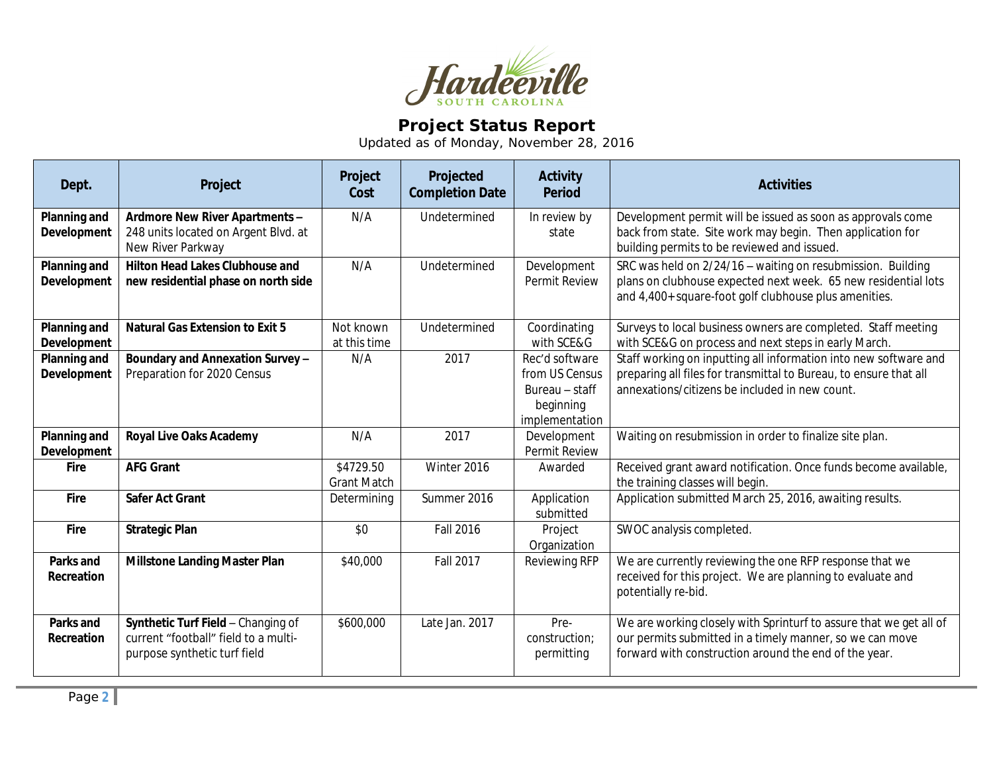

## **Project Status Report**

Updated as of Monday, November 28, 2016

| Dept.                                     | Project                                                                                                    | Project<br>Cost                 | Projected<br><b>Completion Date</b> | <b>Activity</b><br><b>Period</b>                                                  | <b>Activities</b>                                                                                                                                                                       |
|-------------------------------------------|------------------------------------------------------------------------------------------------------------|---------------------------------|-------------------------------------|-----------------------------------------------------------------------------------|-----------------------------------------------------------------------------------------------------------------------------------------------------------------------------------------|
| <b>Planning and</b><br><b>Development</b> | Ardmore New River Apartments -<br>248 units located on Argent Blvd. at<br>New River Parkway                | N/A                             | Undetermined                        | In review by<br>state                                                             | Development permit will be issued as soon as approvals come<br>back from state. Site work may begin. Then application for<br>building permits to be reviewed and issued.                |
| Planning and<br>Development               | <b>Hilton Head Lakes Clubhouse and</b><br>new residential phase on north side                              | N/A                             | Undetermined                        | Development<br>Permit Review                                                      | SRC was held on 2/24/16 - waiting on resubmission. Building<br>plans on clubhouse expected next week. 65 new residential lots<br>and 4,400+ square-foot golf clubhouse plus amenities.  |
| Planning and<br><b>Development</b>        | <b>Natural Gas Extension to Exit 5</b>                                                                     | Not known<br>at this time       | Undetermined                        | Coordinating<br>with SCE&G                                                        | Surveys to local business owners are completed. Staff meeting<br>with SCE&G on process and next steps in early March.                                                                   |
| Planning and<br>Development               | Boundary and Annexation Survey -<br>Preparation for 2020 Census                                            | N/A                             | 2017                                | Rec'd software<br>from US Census<br>Bureau - staff<br>beginning<br>implementation | Staff working on inputting all information into new software and<br>preparing all files for transmittal to Bureau, to ensure that all<br>annexations/citizens be included in new count. |
| Planning and<br>Development               | <b>Royal Live Oaks Academy</b>                                                                             | N/A                             | 2017                                | Development<br>Permit Review                                                      | Waiting on resubmission in order to finalize site plan.                                                                                                                                 |
| <b>Fire</b>                               | <b>AFG Grant</b>                                                                                           | \$4729.50<br><b>Grant Match</b> | Winter 2016                         | Awarded                                                                           | Received grant award notification. Once funds become available,<br>the training classes will begin.                                                                                     |
| Fire                                      | <b>Safer Act Grant</b>                                                                                     | Determining                     | Summer 2016                         | Application<br>submitted                                                          | Application submitted March 25, 2016, awaiting results.                                                                                                                                 |
| Fire                                      | <b>Strategic Plan</b>                                                                                      | \$0                             | <b>Fall 2016</b>                    | Project<br>Organization                                                           | SWOC analysis completed.                                                                                                                                                                |
| Parks and<br>Recreation                   | <b>Millstone Landing Master Plan</b>                                                                       | \$40,000                        | <b>Fall 2017</b>                    | <b>Reviewing RFP</b>                                                              | We are currently reviewing the one RFP response that we<br>received for this project. We are planning to evaluate and<br>potentially re-bid.                                            |
| Parks and<br>Recreation                   | Synthetic Turf Field - Changing of<br>current "football" field to a multi-<br>purpose synthetic turf field | \$600,000                       | Late Jan. 2017                      | Pre-<br>construction;<br>permitting                                               | We are working closely with Sprinturf to assure that we get all of<br>our permits submitted in a timely manner, so we can move<br>forward with construction around the end of the year. |